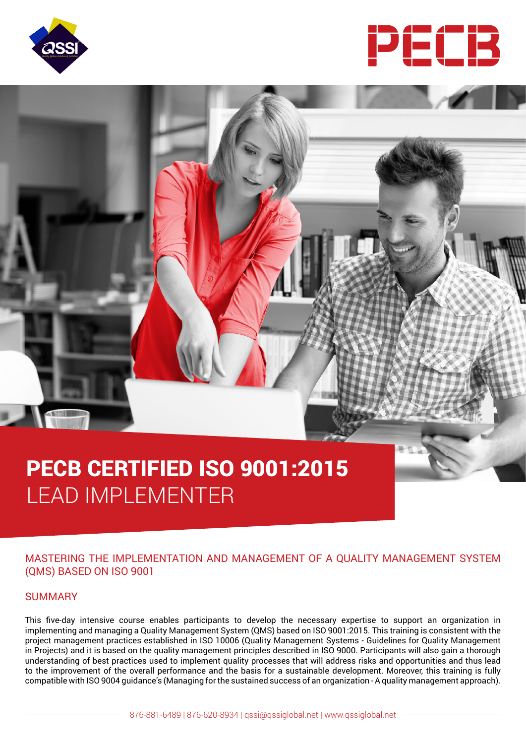



# PECB CERTIFIED ISO 9001:2015 LEAD IMPLEMENTER

# MASTERING THE IMPLEMENTATION AND MANAGEMENT OF A QUALITY MANAGEMENT SYSTEM (QMS) BASED ON ISO 9001

#### SUMMARY

This five-day intensive course enables participants to develop the necessary expertise to support an organization in implementing and managing a Quality Management System (QMS) based on ISO 9001:2015. This training is consistent with the project management practices established in ISO 10006 (Quality Management Systems - Guidelines for Quality Management in Projects) and it is based on the quality management principles described in ISO 9000. Participants will also gain a thorough understanding of best practices used to implement quality processes that will address risks and opportunities and thus lead to the improvement of the overall performance and the basis for a sustainable development. Moreover, this training is fully compatible with ISO 9004 guidance's (Managing for the sustained success of an organization - A quality management approach).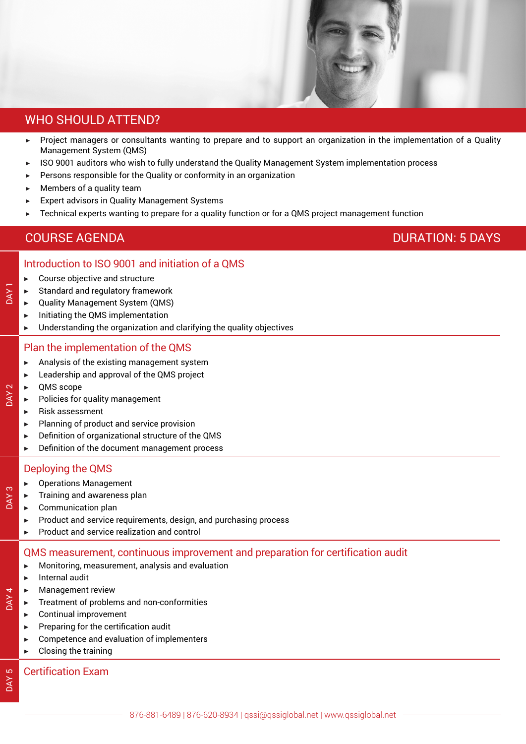

# WHO SHOULD ATTEND?

- ▶ Project managers or consultants wanting to prepare and to support an organization in the implementation of a Quality Management System (QMS)
- ▶ ISO 9001 auditors who wish to fully understand the Quality Management System implementation process
- Persons responsible for the Quality or conformity in an organization
- Members of a quality team
- **Expert advisors in Quality Management Systems**
- Technical experts wanting to prepare for a quality function or for a QMS project management function

# COURSE AGENDA DURATION: 5 DAYS

# Introduction to ISO 9001 and initiation of a QMS

- $\blacktriangleright$  Course objective and structure
- Standard and regulatory framework
- ▶ Quality Management System (QMS)
- ▶ Initiating the QMS implementation
- $\blacktriangleright$  Understanding the organization and clarifying the quality objectives

# Plan the implementation of the QMS

- $\blacktriangleright$  Analysis of the existing management system
- Leadership and approval of the QMS project
- **OMS** scope

DAY<sub>1</sub>

DAY<sub>2</sub>

DAY<sub>3</sub>

DAY 4

DAY 5

- Policies for quality management
- ▶ Risk assessment
- **Planning of product and service provision**
- Definition of organizational structure of the QMS
- ▶ Definition of the document management process

# Deploying the QMS

- **Operations Management**
- Training and awareness plan
- Communication plan
- Product and service requirements, design, and purchasing process
- ▶ Product and service realization and control

# QMS measurement, continuous improvement and preparation for certification audit

- $\blacktriangleright$  Monitoring, measurement, analysis and evaluation
- Internal audit
- **Management review**
- Treatment of problems and non-conformities
- Continual improvement
- Preparing for the certification audit
- Competence and evaluation of implementers
- $\blacktriangleright$  Closing the training

# Certification Exam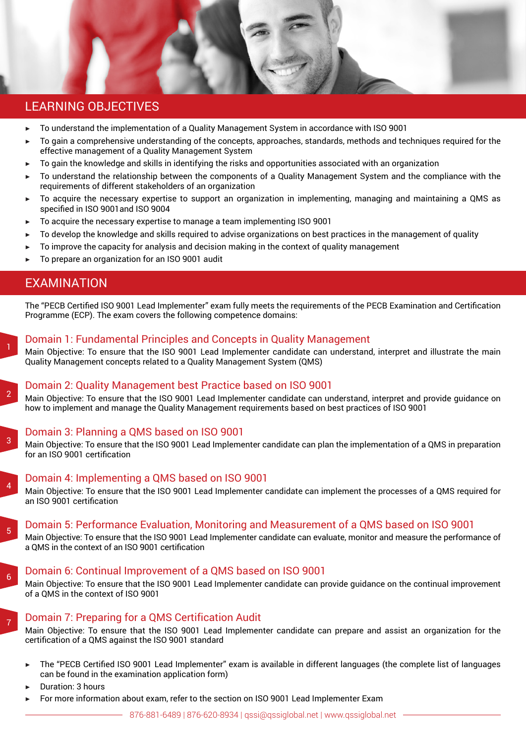

# LEARNING OBJECTIVES

- ▶ To understand the implementation of a Quality Management System in accordance with ISO 9001
- To gain a comprehensive understanding of the concepts, approaches, standards, methods and techniques required for the effective management of a Quality Management System
- ▶ To gain the knowledge and skills in identifying the risks and opportunities associated with an organization
- To understand the relationship between the components of a Quality Management System and the compliance with the requirements of different stakeholders of an organization
- ▶ To acquire the necessary expertise to support an organization in implementing, managing and maintaining a QMS as specified in ISO 9001and ISO 9004
- $\triangleright$  To acquire the necessary expertise to manage a team implementing ISO 9001
- To develop the knowledge and skills required to advise organizations on best practices in the management of quality
- To improve the capacity for analysis and decision making in the context of quality management
- To prepare an organization for an ISO 9001 audit

# EXAMINATION

1

 $\overline{2}$ 

3

4

5

6

7

The "PECB Certified ISO 9001 Lead Implementer" exam fully meets the requirements of the PECB Examination and Certification Programme (ECP). The exam covers the following competence domains:

# Domain 1: Fundamental Principles and Concepts in Quality Management

Main Objective: To ensure that the ISO 9001 Lead Implementer candidate can understand, interpret and illustrate the main Quality Management concepts related to a Quality Management System (QMS)

# Domain 2: Quality Management best Practice based on ISO 9001

Main Objective: To ensure that the ISO 9001 Lead Implementer candidate can understand, interpret and provide guidance on how to implement and manage the Quality Management requirements based on best practices of ISO 9001

# Domain 3: Planning a QMS based on ISO 9001

Main Objective: To ensure that the ISO 9001 Lead Implementer candidate can plan the implementation of a QMS in preparation for an ISO 9001 certification

#### Domain 4: Implementing a QMS based on ISO 9001

Main Objective: To ensure that the ISO 9001 Lead Implementer candidate can implement the processes of a QMS required for an ISO 9001 certification

#### Domain 5: Performance Evaluation, Monitoring and Measurement of a QMS based on ISO 9001

Main Objective: To ensure that the ISO 9001 Lead Implementer candidate can evaluate, monitor and measure the performance of a QMS in the context of an ISO 9001 certification

#### Domain 6: Continual Improvement of a QMS based on ISO 9001

Main Objective: To ensure that the ISO 9001 Lead Implementer candidate can provide guidance on the continual improvement of a QMS in the context of ISO 9001

# Domain 7: Preparing for a QMS Certification Audit

Main Objective: To ensure that the ISO 9001 Lead Implementer candidate can prepare and assist an organization for the certification of a QMS against the ISO 9001 standard

- The "PECB Certified ISO 9001 Lead Implementer" exam is available in different languages (the complete list of languages can be found in the examination application form)
- Duration: 3 hours
- For more information about exam, refer to the section on ISO 9001 Lead Implementer Exam